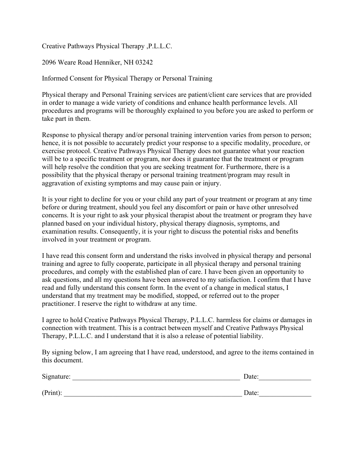Creative Pathways Physical Therapy ,P.L.L.C.

2096 Weare Road Henniker, NH 03242

Informed Consent for Physical Therapy or Personal Training

Physical therapy and Personal Training services are patient/client care services that are provided in order to manage a wide variety of conditions and enhance health performance levels. All procedures and programs will be thoroughly explained to you before you are asked to perform or take part in them.

Response to physical therapy and/or personal training intervention varies from person to person; hence, it is not possible to accurately predict your response to a specific modality, procedure, or exercise protocol. Creative Pathways Physical Therapy does not guarantee what your reaction will be to a specific treatment or program, nor does it guarantee that the treatment or program will help resolve the condition that you are seeking treatment for. Furthermore, there is a possibility that the physical therapy or personal training treatment/program may result in aggravation of existing symptoms and may cause pain or injury.

It is your right to decline for you or your child any part of your treatment or program at any time before or during treatment, should you feel any discomfort or pain or have other unresolved concerns. It is your right to ask your physical therapist about the treatment or program they have planned based on your individual history, physical therapy diagnosis, symptoms, and examination results. Consequently, it is your right to discuss the potential risks and benefits involved in your treatment or program.

I have read this consent form and understand the risks involved in physical therapy and personal training and agree to fully cooperate, participate in all physical therapy and personal training procedures, and comply with the established plan of care. I have been given an opportunity to ask questions, and all my questions have been answered to my satisfaction. I confirm that I have read and fully understand this consent form. In the event of a change in medical status, I understand that my treatment may be modified, stopped, or referred out to the proper practitioner. I reserve the right to withdraw at any time.

I agree to hold Creative Pathways Physical Therapy, P.L.L.C. harmless for claims or damages in connection with treatment. This is a contract between myself and Creative Pathways Physical Therapy, P.L.L.C. and I understand that it is also a release of potential liability.

By signing below, I am agreeing that I have read, understood, and agree to the items contained in this document.

| Signature: | Date: |  |
|------------|-------|--|
|            |       |  |
| (Print):   | Date: |  |